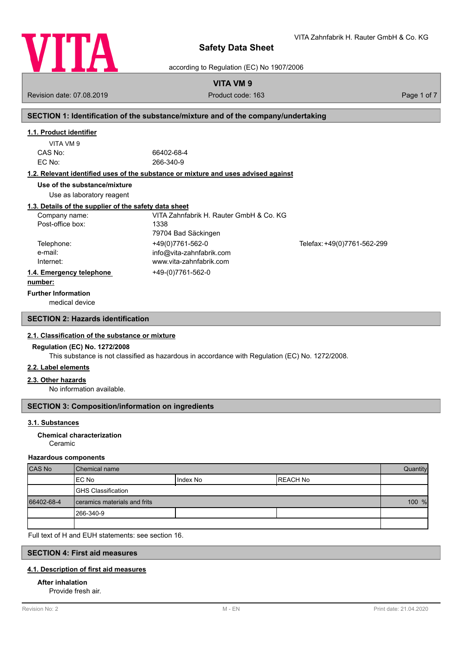

according to Regulation (EC) No 1907/2006

# **VITA VM 9**

Revision date: 07.08.2019 **Product code: 163** Product code: 163 **Page 1 of 7** Page 1 of 7

# **SECTION 1: Identification of the substance/mixture and of the company/undertaking**

# **1.1. Product identifier**

| VITA VM 9 |    |
|-----------|----|
| CAS No:   | 66 |
| EC No:    | 26 |

6402-68-4 66-340-9

# **1.2. Relevant identified uses of the substance or mixture and uses advised against**

**Use of the substance/mixture**

Use as laboratory reagent

# **1.3. Details of the supplier of the safety data sheet**

| Company name:            | VITA Zahnfabrik H. Rauter GmbH & Co. KG |                             |
|--------------------------|-----------------------------------------|-----------------------------|
| Post-office box:         | 1338                                    |                             |
|                          | 79704 Bad Säckingen                     |                             |
| Telephone:               | +49(0)7761-562-0                        | Telefax: +49(0)7761-562-299 |
| e-mail:                  | info@vita-zahnfabrik.com                |                             |
| Internet:                | www.vita-zahnfabrik.com                 |                             |
| 1.4. Emergency telephone | +49-(0)7761-562-0                       |                             |
| .                        |                                         |                             |

## **number:**

**Further Information**

medical device

# **SECTION 2: Hazards identification**

### **2.1. Classification of the substance or mixture**

## **Regulation (EC) No. 1272/2008**

This substance is not classified as hazardous in accordance with Regulation (EC) No. 1272/2008.

## **2.2. Label elements**

### **2.3. Other hazards**

No information available.

# **SECTION 3: Composition/information on ingredients**

### **3.1. Substances**

### Ceramic **Chemical characterization**

### **Hazardous components**

| <b>CAS No</b> | l Chemical name              |          | Quantity  |  |
|---------------|------------------------------|----------|-----------|--|
|               | IEC No                       | Index No | IREACH No |  |
|               | <b>GHS Classification</b>    |          |           |  |
| 66402-68-4    | ceramics materials and frits |          | 100 %     |  |
|               | 1266-340-9                   |          |           |  |
|               |                              |          |           |  |

Full text of H and EUH statements: see section 16.

# **SECTION 4: First aid measures**

### **4.1. Description of first aid measures**

# **After inhalation**

Provide fresh air.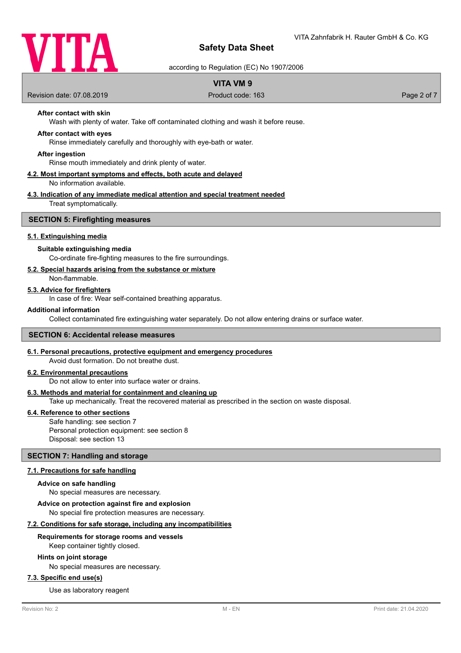

according to Regulation (EC) No 1907/2006

# **VITA VM 9**

Revision date: 07.08.2019 **Product code: 163** Product code: 163 **Page 2 of 7** Page 2 of 7

# **After contact with skin**

Wash with plenty of water. Take off contaminated clothing and wash it before reuse.

### **After contact with eyes**

Rinse immediately carefully and thoroughly with eye-bath or water.

#### **After ingestion**

Rinse mouth immediately and drink plenty of water.

#### **4.2. Most important symptoms and effects, both acute and delayed** No information available.

# **4.3. Indication of any immediate medical attention and special treatment needed**

Treat symptomatically.

### **SECTION 5: Firefighting measures**

### **5.1. Extinguishing media**

### **Suitable extinguishing media**

Co-ordinate fire-fighting measures to the fire surroundings.

### **5.2. Special hazards arising from the substance or mixture**

Non-flammable.

### **5.3. Advice for firefighters**

In case of fire: Wear self-contained breathing apparatus.

### **Additional information**

Collect contaminated fire extinguishing water separately. Do not allow entering drains or surface water.

### **SECTION 6: Accidental release measures**

### **6.1. Personal precautions, protective equipment and emergency procedures**

Avoid dust formation. Do not breathe dust.

# **6.2. Environmental precautions**

Do not allow to enter into surface water or drains.

### **6.3. Methods and material for containment and cleaning up**

Take up mechanically. Treat the recovered material as prescribed in the section on waste disposal.

### **6.4. Reference to other sections**

Safe handling: see section 7 Personal protection equipment: see section 8 Disposal: see section 13

### **SECTION 7: Handling and storage**

### **7.1. Precautions for safe handling**

#### **Advice on safe handling**

No special measures are necessary.

**Advice on protection against fire and explosion**

No special fire protection measures are necessary.

## **7.2. Conditions for safe storage, including any incompatibilities**

### **Requirements for storage rooms and vessels**

Keep container tightly closed.

### **Hints on joint storage**

No special measures are necessary.

## **7.3. Specific end use(s)**

Use as laboratory reagent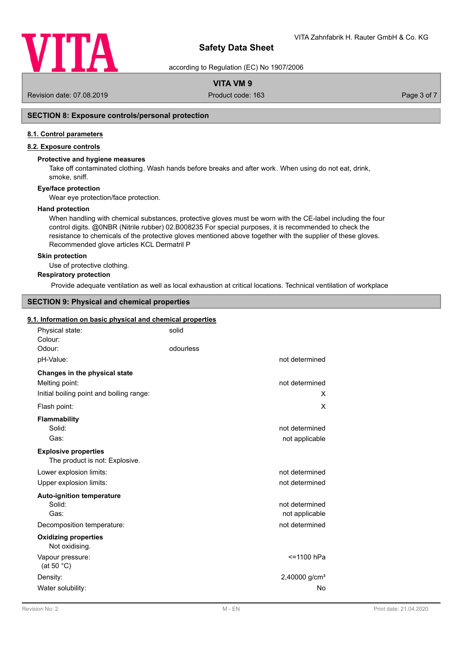

according to Regulation (EC) No 1907/2006

# **VITA VM 9**

Revision date: 07.08.2019 **Product code: 163** Product code: 163 **Page 3 of 7** Page 3 of 7

# **SECTION 8: Exposure controls/personal protection**

### **8.1. Control parameters**

# **8.2. Exposure controls**

### **Protective and hygiene measures**

Take off contaminated clothing. Wash hands before breaks and after work. When using do not eat, drink, smoke, sniff.

### **Eye/face protection**

Wear eye protection/face protection.

### **Hand protection**

When handling with chemical substances, protective gloves must be worn with the CE-label including the four control digits. @0NBR (Nitrile rubber) 02.B008235 For special purposes, it is recommended to check the resistance to chemicals of the protective gloves mentioned above together with the supplier of these gloves. Recommended glove articles KCL Dermatril P

#### **Skin protection**

Use of protective clothing.

### **Respiratory protection**

Provide adequate ventilation as well as local exhaustion at critical locations. Technical ventilation of workplace

# **SECTION 9: Physical and chemical properties**

### **9.1. Information on basic physical and chemical properties**

| Physical state:<br>Colour:                    | solid     |                           |
|-----------------------------------------------|-----------|---------------------------|
| Odour:                                        | odourless |                           |
| pH-Value:                                     |           | not determined            |
| Changes in the physical state                 |           |                           |
| Melting point:                                |           | not determined            |
| Initial boiling point and boiling range:      |           | X                         |
| Flash point:                                  |           | X                         |
| <b>Flammability</b>                           |           |                           |
| Solid:                                        |           | not determined            |
| Gas:                                          |           | not applicable            |
| <b>Explosive properties</b>                   |           |                           |
| The product is not: Explosive.                |           |                           |
| Lower explosion limits:                       |           | not determined            |
| Upper explosion limits:                       |           | not determined            |
| <b>Auto-ignition temperature</b>              |           |                           |
| Solid:                                        |           | not determined            |
| Gas:                                          |           | not applicable            |
| Decomposition temperature:                    |           | not determined            |
| <b>Oxidizing properties</b><br>Not oxidising. |           |                           |
| Vapour pressure:<br>(at 50 $°C$ )             |           | <= 1100 hPa               |
| Density:                                      |           | 2,40000 g/cm <sup>3</sup> |
| Water solubility:                             |           | N <sub>o</sub>            |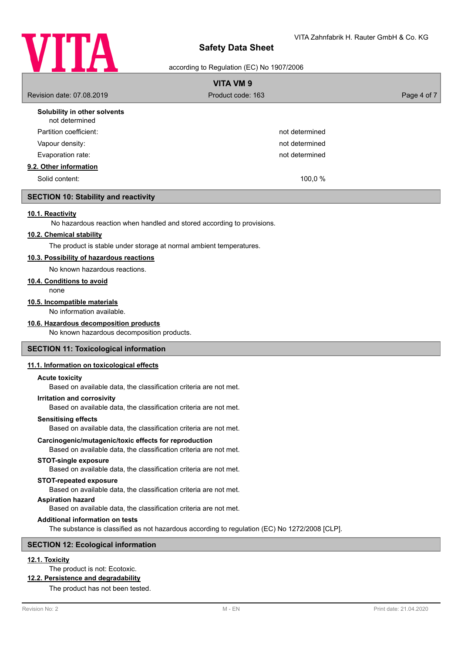

according to Regulation (EC) No 1907/2006

| <b>VITA VM 9</b>                               |                   |             |
|------------------------------------------------|-------------------|-------------|
| Revision date: 07.08.2019                      | Product code: 163 | Page 4 of 7 |
| Solubility in other solvents<br>not determined |                   |             |
| Partition coefficient:                         | not determined    |             |
| Vapour density:                                | not determined    |             |
| Evaporation rate:                              | not determined    |             |
| 9.2. Other information                         |                   |             |
| Solid content:                                 | 100,0 %           |             |
| <b>SECTION 10: Stability and reactivity</b>    |                   |             |

### **10.1. Reactivity**

No hazardous reaction when handled and stored according to provisions.

# **10.2. Chemical stability**

The product is stable under storage at normal ambient temperatures.

# **10.3. Possibility of hazardous reactions**

No known hazardous reactions.

#### **10.4. Conditions to avoid**

none

## **10.5. Incompatible materials**

No information available.

## **10.6. Hazardous decomposition products**

No known hazardous decomposition products.

### **SECTION 11: Toxicological information**

### **11.1. Information on toxicological effects**

### **Acute toxicity**

Based on available data, the classification criteria are not met.

### **Irritation and corrosivity**

Based on available data, the classification criteria are not met.

### **Sensitising effects**

Based on available data, the classification criteria are not met.

### **Carcinogenic/mutagenic/toxic effects for reproduction**

Based on available data, the classification criteria are not met.

#### **STOT-single exposure**

Based on available data, the classification criteria are not met.

### **STOT-repeated exposure**

Based on available data, the classification criteria are not met.

### **Aspiration hazard**

Based on available data, the classification criteria are not met.

### **Additional information on tests**

The substance is classified as not hazardous according to regulation (EC) No 1272/2008 [CLP].

### **SECTION 12: Ecological information**

# **12.1. Toxicity**

# The product is not: Ecotoxic.

# **12.2. Persistence and degradability**

The product has not been tested.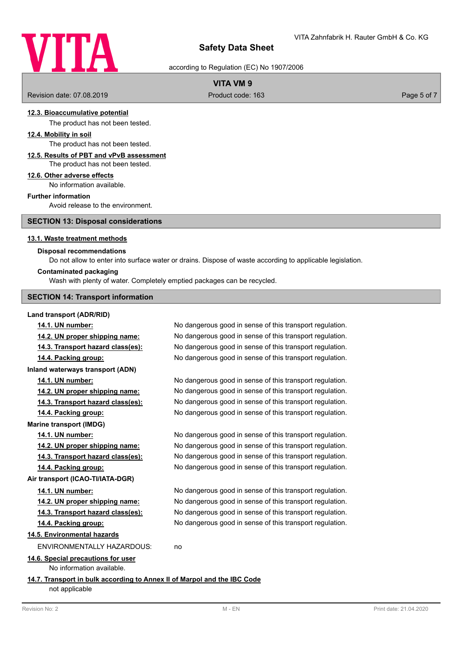

according to Regulation (EC) No 1907/2006

# **VITA VM 9**

Revision date: 07.08.2019 **Product code: 163** Product code: 163 **Page 5 of 7** Page 5 of 7

### **12.3. Bioaccumulative potential**

The product has not been tested.

### **12.4. Mobility in soil**

The product has not been tested.

## **12.5. Results of PBT and vPvB assessment**

The product has not been tested.

### **12.6. Other adverse effects**

No information available.

## **Further information**

Avoid release to the environment.

# **SECTION 13: Disposal considerations**

#### **13.1. Waste treatment methods**

### **Disposal recommendations**

Do not allow to enter into surface water or drains. Dispose of waste according to applicable legislation.

### **Contaminated packaging**

Wash with plenty of water. Completely emptied packages can be recycled.

### **SECTION 14: Transport information**

#### **Land transport (ADR/RID)**

**14.1. UN number:** No dangerous good in sense of this transport regulation. **14.2. UN proper shipping name:** No dangerous good in sense of this transport regulation. **14.3. Transport hazard class(es):** No dangerous good in sense of this transport regulation. **14.4. Packing group:** No dangerous good in sense of this transport regulation. **Inland waterways transport (ADN) 14.1. UN number:** No dangerous good in sense of this transport regulation. **14.2. UN proper shipping name:** No dangerous good in sense of this transport regulation. **14.3. Transport hazard class(es):** No dangerous good in sense of this transport regulation. **14.4. Packing group:** No dangerous good in sense of this transport regulation. **Marine transport (IMDG) 14.1. UN number:** No dangerous good in sense of this transport regulation. **14.2. UN proper shipping name:** No dangerous good in sense of this transport regulation. **14.3. Transport hazard class(es):** No dangerous good in sense of this transport regulation. **14.4. Packing group:** No dangerous good in sense of this transport regulation. **Air transport (ICAO-TI/IATA-DGR) 14.1. UN number:** No dangerous good in sense of this transport regulation. **14.2. UN proper shipping name:** No dangerous good in sense of this transport regulation. **14.3. Transport hazard class(es):** No dangerous good in sense of this transport regulation. **14.4. Packing group:** No dangerous good in sense of this transport regulation. **14.5. Environmental hazards** ENVIRONMENTALLY HAZARDOUS: no **14.6. Special precautions for user** No information available. **14.7. Transport in bulk according to Annex II of Marpol and the IBC Code** not applicable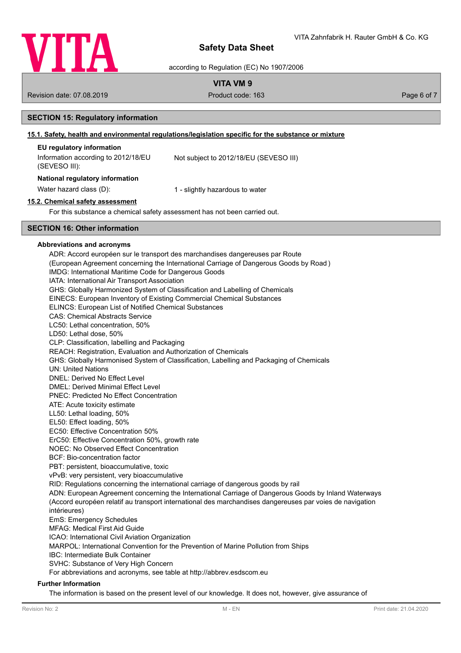

according to Regulation (EC) No 1907/2006

# **VITA VM 9**

Revision date: 07.08.2019 **Product code: 163** Product code: 163 **Page 6 of 7** Page 6 of 7

## **SECTION 15: Regulatory information**

# **15.1. Safety, health and environmental regulations/legislation specific for the substance or mixture**

# **EU regulatory information**

| Information according to 2012/18/EU<br>(SEVESO III): | Not subject to 2012/18/EU (SEVESO III) |
|------------------------------------------------------|----------------------------------------|
| <b>National regulatory information</b>               |                                        |
| Water hazard class (D):                              | 1 - slightly hazardous to water        |

# **15.2. Chemical safety assessment**

For this substance a chemical safety assessment has not been carried out.

## **SECTION 16: Other information**

### **Abbreviations and acronyms**

ADR: Accord européen sur le transport des marchandises dangereuses par Route (European Agreement concerning the International Carriage of Dangerous Goods by Road ) IMDG: International Maritime Code for Dangerous Goods IATA: International Air Transport Association GHS: Globally Harmonized System of Classification and Labelling of Chemicals EINECS: European Inventory of Existing Commercial Chemical Substances ELINCS: European List of Notified Chemical Substances CAS: Chemical Abstracts Service LC50: Lethal concentration, 50% LD50: Lethal dose, 50% CLP: Classification, labelling and Packaging REACH: Registration, Evaluation and Authorization of Chemicals GHS: Globally Harmonised System of Classification, Labelling and Packaging of Chemicals UN: United Nations DNEL: Derived No Effect Level DMEL: Derived Minimal Effect Level PNEC: Predicted No Effect Concentration ATE: Acute toxicity estimate LL50: Lethal loading, 50% EL50: Effect loading, 50% EC50: Effective Concentration 50% ErC50: Effective Concentration 50%, growth rate NOEC: No Observed Effect Concentration BCF: Bio-concentration factor PBT: persistent, bioaccumulative, toxic vPvB: very persistent, very bioaccumulative RID: Regulations concerning the international carriage of dangerous goods by rail ADN: European Agreement concerning the International Carriage of Dangerous Goods by Inland Waterways (Accord européen relatif au transport international des marchandises dangereuses par voies de navigation intérieures) EmS: Emergency Schedules MFAG: Medical First Aid Guide ICAO: International Civil Aviation Organization MARPOL: International Convention for the Prevention of Marine Pollution from Ships IBC: Intermediate Bulk Container SVHC: Substance of Very High Concern For abbreviations and acronyms, see table at http://abbrev.esdscom.eu

## **Further Information**

The information is based on the present level of our knowledge. It does not, however, give assurance of